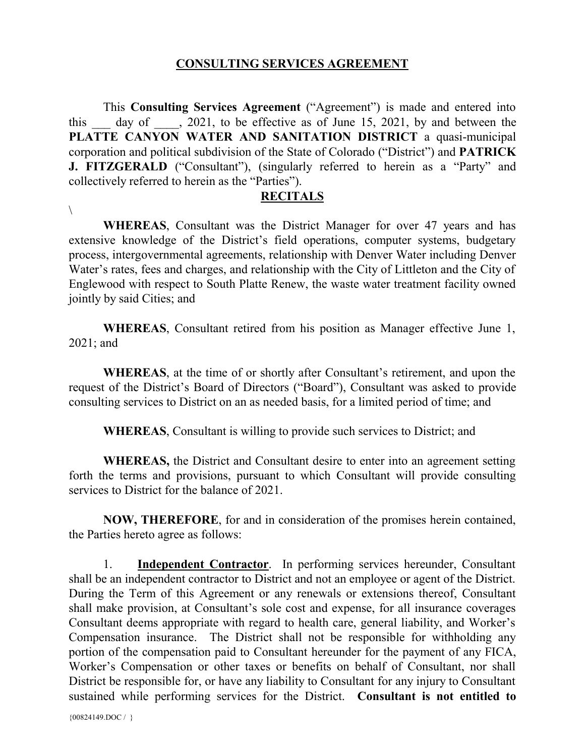## **CONSULTING SERVICES AGREEMENT**

This **Consulting Services Agreement** ("Agreement") is made and entered into this day of  $\ldots$ , 2021, to be effective as of June 15, 2021, by and between the **PLATTE CANYON WATER AND SANITATION DISTRICT** a quasi-municipal corporation and political subdivision of the State of Colorado ("District") and **PATRICK J. FITZGERALD** ("Consultant"), (singularly referred to herein as a "Party" and collectively referred to herein as the "Parties").

## **RECITALS**

**WHEREAS**, Consultant was the District Manager for over 47 years and has extensive knowledge of the District's field operations, computer systems, budgetary process, intergovernmental agreements, relationship with Denver Water including Denver Water's rates, fees and charges, and relationship with the City of Littleton and the City of Englewood with respect to South Platte Renew, the waste water treatment facility owned jointly by said Cities; and

**WHEREAS**, Consultant retired from his position as Manager effective June 1, 2021; and

**WHEREAS**, at the time of or shortly after Consultant's retirement, and upon the request of the District's Board of Directors ("Board"), Consultant was asked to provide consulting services to District on an as needed basis, for a limited period of time; and

**WHEREAS**, Consultant is willing to provide such services to District; and

**WHEREAS,** the District and Consultant desire to enter into an agreement setting forth the terms and provisions, pursuant to which Consultant will provide consulting services to District for the balance of 2021.

**NOW, THEREFORE**, for and in consideration of the promises herein contained, the Parties hereto agree as follows:

1. **Independent Contractor**. In performing services hereunder, Consultant shall be an independent contractor to District and not an employee or agent of the District. During the Term of this Agreement or any renewals or extensions thereof, Consultant shall make provision, at Consultant's sole cost and expense, for all insurance coverages Consultant deems appropriate with regard to health care, general liability, and Worker's Compensation insurance. The District shall not be responsible for withholding any portion of the compensation paid to Consultant hereunder for the payment of any FICA, Worker's Compensation or other taxes or benefits on behalf of Consultant, nor shall District be responsible for, or have any liability to Consultant for any injury to Consultant sustained while performing services for the District. **Consultant is not entitled to** 

 $\setminus$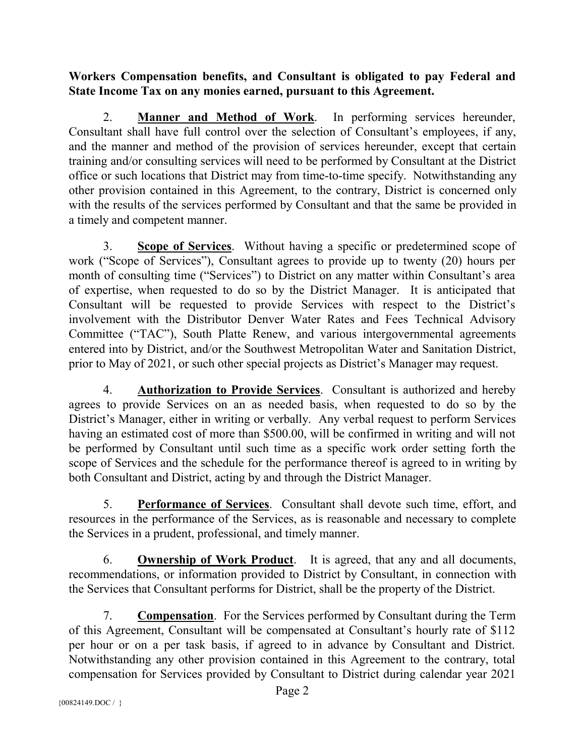**Workers Compensation benefits, and Consultant is obligated to pay Federal and State Income Tax on any monies earned, pursuant to this Agreement.**

2. **Manner and Method of Work**. In performing services hereunder, Consultant shall have full control over the selection of Consultant's employees, if any, and the manner and method of the provision of services hereunder, except that certain training and/or consulting services will need to be performed by Consultant at the District office or such locations that District may from time-to-time specify. Notwithstanding any other provision contained in this Agreement, to the contrary, District is concerned only with the results of the services performed by Consultant and that the same be provided in a timely and competent manner.

3. **Scope of Services**. Without having a specific or predetermined scope of work ("Scope of Services"), Consultant agrees to provide up to twenty (20) hours per month of consulting time ("Services") to District on any matter within Consultant's area of expertise, when requested to do so by the District Manager. It is anticipated that Consultant will be requested to provide Services with respect to the District's involvement with the Distributor Denver Water Rates and Fees Technical Advisory Committee ("TAC"), South Platte Renew, and various intergovernmental agreements entered into by District, and/or the Southwest Metropolitan Water and Sanitation District, prior to May of 2021, or such other special projects as District's Manager may request.

4. **Authorization to Provide Services**. Consultant is authorized and hereby agrees to provide Services on an as needed basis, when requested to do so by the District's Manager, either in writing or verbally. Any verbal request to perform Services having an estimated cost of more than \$500.00, will be confirmed in writing and will not be performed by Consultant until such time as a specific work order setting forth the scope of Services and the schedule for the performance thereof is agreed to in writing by both Consultant and District, acting by and through the District Manager.

5. **Performance of Services**. Consultant shall devote such time, effort, and resources in the performance of the Services, as is reasonable and necessary to complete the Services in a prudent, professional, and timely manner.

6. **Ownership of Work Product**. It is agreed, that any and all documents, recommendations, or information provided to District by Consultant, in connection with the Services that Consultant performs for District, shall be the property of the District.

7. **Compensation**. For the Services performed by Consultant during the Term of this Agreement, Consultant will be compensated at Consultant's hourly rate of \$112 per hour or on a per task basis, if agreed to in advance by Consultant and District. Notwithstanding any other provision contained in this Agreement to the contrary, total compensation for Services provided by Consultant to District during calendar year 2021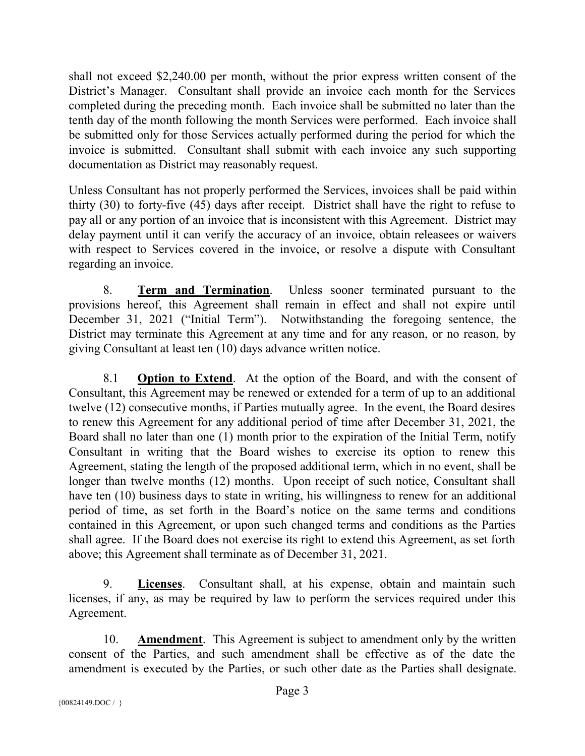shall not exceed \$2,240.00 per month, without the prior express written consent of the District's Manager. Consultant shall provide an invoice each month for the Services completed during the preceding month. Each invoice shall be submitted no later than the tenth day of the month following the month Services were performed. Each invoice shall be submitted only for those Services actually performed during the period for which the invoice is submitted. Consultant shall submit with each invoice any such supporting documentation as District may reasonably request.

Unless Consultant has not properly performed the Services, invoices shall be paid within thirty (30) to forty-five (45) days after receipt. District shall have the right to refuse to pay all or any portion of an invoice that is inconsistent with this Agreement. District may delay payment until it can verify the accuracy of an invoice, obtain releasees or waivers with respect to Services covered in the invoice, or resolve a dispute with Consultant regarding an invoice.

8. **Term and Termination**. Unless sooner terminated pursuant to the provisions hereof, this Agreement shall remain in effect and shall not expire until December 31, 2021 ("Initial Term"). Notwithstanding the foregoing sentence, the District may terminate this Agreement at any time and for any reason, or no reason, by giving Consultant at least ten (10) days advance written notice.

8.1 **Option to Extend**. At the option of the Board, and with the consent of Consultant, this Agreement may be renewed or extended for a term of up to an additional twelve (12) consecutive months, if Parties mutually agree. In the event, the Board desires to renew this Agreement for any additional period of time after December 31, 2021, the Board shall no later than one (1) month prior to the expiration of the Initial Term, notify Consultant in writing that the Board wishes to exercise its option to renew this Agreement, stating the length of the proposed additional term, which in no event, shall be longer than twelve months (12) months. Upon receipt of such notice, Consultant shall have ten (10) business days to state in writing, his willingness to renew for an additional period of time, as set forth in the Board's notice on the same terms and conditions contained in this Agreement, or upon such changed terms and conditions as the Parties shall agree. If the Board does not exercise its right to extend this Agreement, as set forth above; this Agreement shall terminate as of December 31, 2021.

9. **Licenses**. Consultant shall, at his expense, obtain and maintain such licenses, if any, as may be required by law to perform the services required under this Agreement.

10. **Amendment**. This Agreement is subject to amendment only by the written consent of the Parties, and such amendment shall be effective as of the date the amendment is executed by the Parties, or such other date as the Parties shall designate.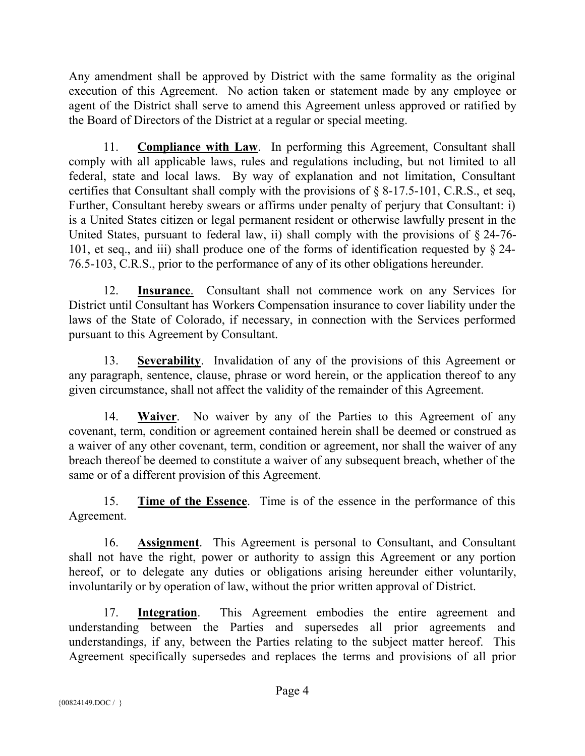Any amendment shall be approved by District with the same formality as the original execution of this Agreement. No action taken or statement made by any employee or agent of the District shall serve to amend this Agreement unless approved or ratified by the Board of Directors of the District at a regular or special meeting.

11. **Compliance with Law**. In performing this Agreement, Consultant shall comply with all applicable laws, rules and regulations including, but not limited to all federal, state and local laws. By way of explanation and not limitation, Consultant certifies that Consultant shall comply with the provisions of § 8-17.5-101, C.R.S., et seq, Further, Consultant hereby swears or affirms under penalty of perjury that Consultant: i) is a United States citizen or legal permanent resident or otherwise lawfully present in the United States, pursuant to federal law, ii) shall comply with the provisions of § 24-76- 101, et seq., and iii) shall produce one of the forms of identification requested by § 24- 76.5-103, C.R.S., prior to the performance of any of its other obligations hereunder.

12. **Insurance**. Consultant shall not commence work on any Services for District until Consultant has Workers Compensation insurance to cover liability under the laws of the State of Colorado, if necessary, in connection with the Services performed pursuant to this Agreement by Consultant.

13. **Severability**. Invalidation of any of the provisions of this Agreement or any paragraph, sentence, clause, phrase or word herein, or the application thereof to any given circumstance, shall not affect the validity of the remainder of this Agreement.

14. **Waiver**. No waiver by any of the Parties to this Agreement of any covenant, term, condition or agreement contained herein shall be deemed or construed as a waiver of any other covenant, term, condition or agreement, nor shall the waiver of any breach thereof be deemed to constitute a waiver of any subsequent breach, whether of the same or of a different provision of this Agreement.

15. **Time of the Essence**. Time is of the essence in the performance of this Agreement.

16. **Assignment**. This Agreement is personal to Consultant, and Consultant shall not have the right, power or authority to assign this Agreement or any portion hereof, or to delegate any duties or obligations arising hereunder either voluntarily, involuntarily or by operation of law, without the prior written approval of District.

17. **Integration**. This Agreement embodies the entire agreement and understanding between the Parties and supersedes all prior agreements and understandings, if any, between the Parties relating to the subject matter hereof. This Agreement specifically supersedes and replaces the terms and provisions of all prior